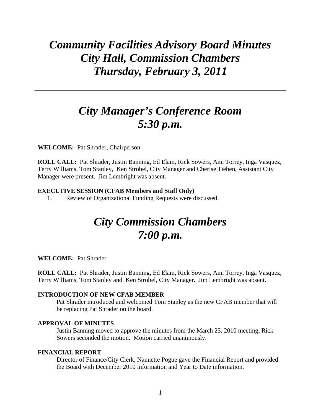# *Community Facilities Advisory Board Minutes City Hall, Commission Chambers Thursday, February 3, 2011*

# *City Manager's Conference Room 5:30 p.m.*

**WELCOME:** Pat Shrader, Chairperson

**ROLL CALL:** Pat Shrader, Justin Banning, Ed Elam, Rick Sowers, Ann Torrey, Inga Vasquez, Terry Williams, Tom Stanley, Ken Strobel, City Manager and Cherise Tieben, Assistant City Manager were present. Jim Lembright was absent.

#### **EXECUTIVE SESSION (CFAB Members and Staff Only)**

1. Review of Organizational Funding Requests were discussed.

# *City Commission Chambers 7:00 p.m.*

#### **WELCOME:** Pat Shrader

**ROLL CALL:** Pat Shrader, Justin Banning, Ed Elam, Rick Sowers, Ann Torrey, Inga Vasquez, Terry Williams, Tom Stanley and Ken Strobel, City Manager. Jim Lembright was absent.

#### **INTRODUCTION OF NEW CFAB MEMBER**

Pat Shrader introduced and welcomed Tom Stanley as the new CFAB member that will be replacing Pat Shrader on the board.

## **APPROVAL OF MINUTES**

Justin Banning moved to approve the minutes from the March 25, 2010 meeting, Rick Sowers seconded the motion. Motion carried unanimously.

### **FINANCIAL REPORT**

Director of Finance/City Clerk, Nannette Pogue gave the Financial Report and provided the Board with December 2010 information and Year to Date information.